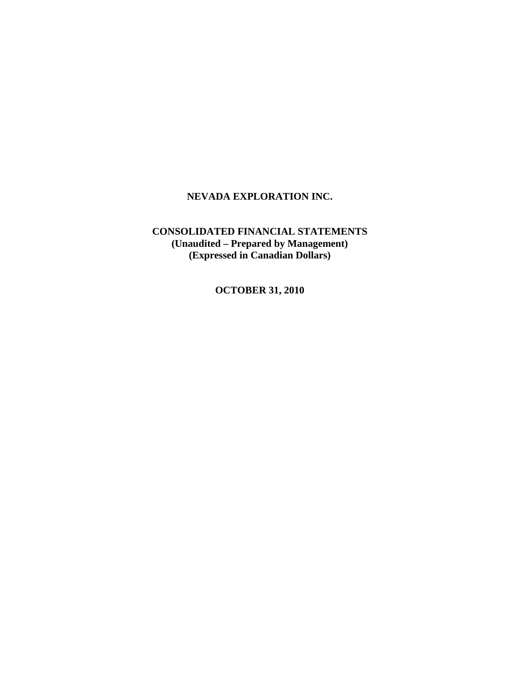# **CONSOLIDATED FINANCIAL STATEMENTS (Unaudited – Prepared by Management) (Expressed in Canadian Dollars)**

**OCTOBER 31, 2010**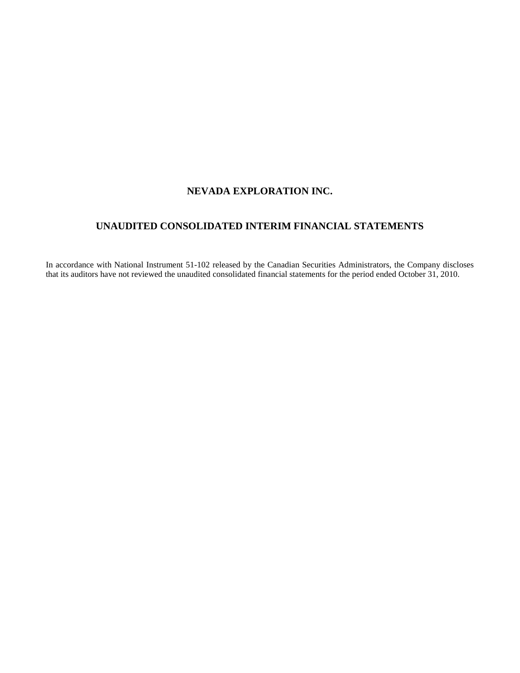# **UNAUDITED CONSOLIDATED INTERIM FINANCIAL STATEMENTS**

In accordance with National Instrument 51-102 released by the Canadian Securities Administrators, the Company discloses that its auditors have not reviewed the unaudited consolidated financial statements for the period ended October 31, 2010.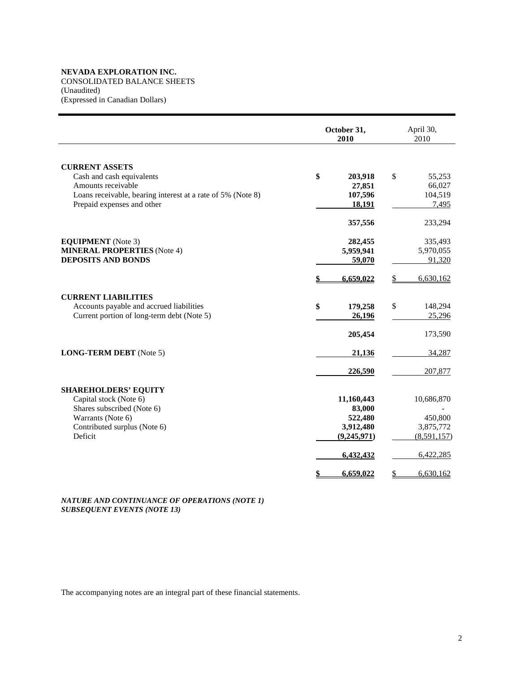CONSOLIDATED BALANCE SHEETS (Unaudited)

(Expressed in Canadian Dollars)

|                                                                                                                                                                       | October 31,<br>2010                                                      | April 30,<br>2010                                              |
|-----------------------------------------------------------------------------------------------------------------------------------------------------------------------|--------------------------------------------------------------------------|----------------------------------------------------------------|
| <b>CURRENT ASSETS</b><br>Cash and cash equivalents<br>Amounts receivable<br>Loans receivable, bearing interest at a rate of 5% (Note 8)<br>Prepaid expenses and other | \$<br>203,918<br>27,851<br>107,596<br>18,191                             | \$<br>55,253<br>66,027<br>104,519<br>7,495                     |
| <b>EQUIPMENT</b> (Note 3)<br><b>MINERAL PROPERTIES</b> (Note 4)<br><b>DEPOSITS AND BONDS</b>                                                                          | 357,556<br>282,455<br>5,959,941<br>59,070                                | 233,294<br>335,493<br>5,970,055<br>91,320                      |
|                                                                                                                                                                       | 6,659,022                                                                | 6,630,162                                                      |
| <b>CURRENT LIABILITIES</b><br>Accounts payable and accrued liabilities<br>Current portion of long-term debt (Note 5)                                                  | \$<br>179,258<br>26,196                                                  | \$<br>148,294<br>25,296                                        |
| <b>LONG-TERM DEBT</b> (Note 5)                                                                                                                                        | 205,454<br>21,136                                                        | 173,590<br>34,287                                              |
|                                                                                                                                                                       | 226,590                                                                  | 207,877                                                        |
| <b>SHAREHOLDERS' EQUITY</b><br>Capital stock (Note 6)<br>Shares subscribed (Note 6)<br>Warrants (Note 6)<br>Contributed surplus (Note 6)<br>Deficit                   | 11,160,443<br>83,000<br>522,480<br>3,912,480<br>(9,245,971)<br>6,432,432 | 10,686,870<br>450,800<br>3,875,772<br>(8,591,157)<br>6,422,285 |
|                                                                                                                                                                       | 6,659,022<br>\$                                                          | \$<br>6,630,162                                                |

*NATURE AND CONTINUANCE OF OPERATIONS (NOTE 1) SUBSEQUENT EVENTS (NOTE 13)*

The accompanying notes are an integral part of these financial statements.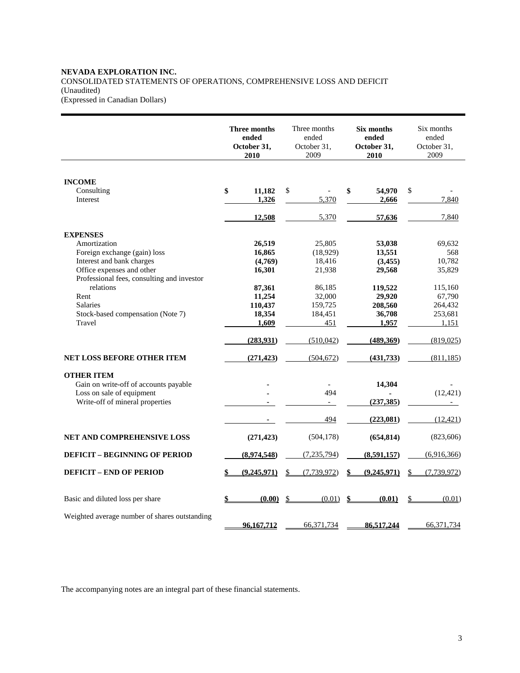#### **NEVADA EXPLORATION INC.**  CONSOLIDATED STATEMENTS OF OPERATIONS, COMPREHENSIVE LOSS AND DEFICIT (Unaudited) (Expressed in Canadian Dollars)

**Three months ended October 31, 2010**  Three months ended October 31, 2009 **Six months ended October 31, 2010**  Six months ended October 31, 2009 **INCOME**  Consulting **\$ 11,182** \$ - **\$ 54,970** \$ - Interest **1,326** 5,370 **2,666** 7,840 **12,508** 5,370 57,636 7,840 **EXPENSES** Amortization **26,519** 25,805 **53,038** 69,632 Foreign exchange (gain) loss **16,865** (18,929) **13,551** 568<br>Interest and bank charges (4,769) 18,416 (3,455) 10,782 Interest and bank charges Office expenses and other **16,301** 21,938 **29,568** 35,829 Professional fees, consulting and investor relations **87,361 86,185 119,522 115,160** Rent **11,254** 32,000 **29,920** 67,790 Salaries **110,437** 159,725 **208,560** 264,432 Stock-based compensation (Note 7) **18,354 184,451 36,708 253,681 1,609 1,609 1,957 1**,151 Travel **1,151** 1,151 1,151 1,151 1,151 1,151 1,151 1,151 1,151 1,151 1,151 1,151 1,151 1,151 1,151 1,151 1,151 1,151 1,151 1,151 1,151 1,151 1,151 1,151 1,151 1,151 1,151 1,151 1,151 1,151 1,151 1,151 1,151 1,151 1,151 1,1  **(283,931)** (510,042) **(489,369)** (819,025) **NET LOSS BEFORE OTHER ITEM** (271,423)  $(504.672)$  (431,733)  $(811.185)$ **OTHER ITEM**  Gain on write-off of accounts payable **14,304**<br>
Loss on sale of equipment **194** Loss on sale of equipment **494** (12,421)<br>Write-off of mineral properties **- - - -** *-* **-** *(237,385)* **(237,385) <b>-Write-off of mineral properties -** 494 **(223,081)** (12,421) **NET AND COMPREHENSIVE LOSS (271,423)** (504,178) **(654,814)** (823,606) **DEFICIT – BEGINNING OF PERIOD** (8,974,548) (7,235,794) (8,591,157) (6,916,366) **DEFICIT – END OF PERIOD \$ (9,245,971)** \$ (7,739,972) **\$ (9,245,971)** \$ (7,739,972) Basic and diluted loss per share **\$ (0.00)** \$ (0.01) **\$ (0.01)** \$ (0.01) Weighted average number of shares outstanding  **96,167,712** 66,371,734 **86,517,244** 66,371,734

The accompanying notes are an integral part of these financial statements.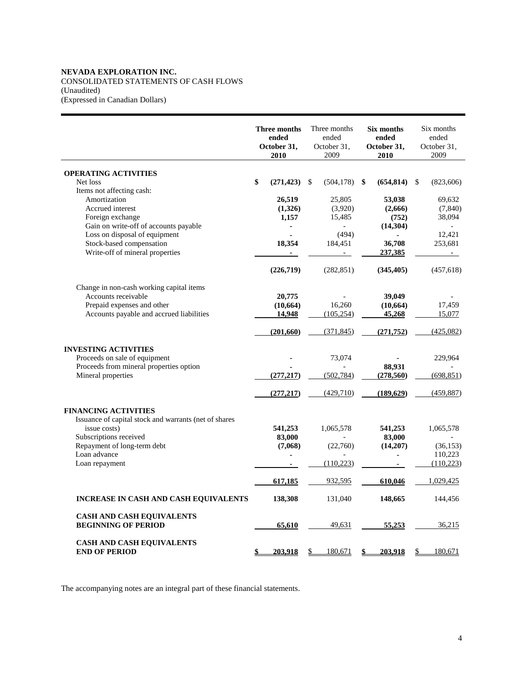# **NEVADA EXPLORATION INC.**  CONSOLIDATED STATEMENTS OF CASH FLOWS (Unaudited) (Expressed in Canadian Dollars)

|                                                       | Three months<br>ended<br>October 31,<br>2010 | Three months<br>ended<br>October 31,<br>2009 | Six months<br>ended<br>October 31,<br>2010 | Six months<br>ended<br>October 31,<br>2009 |
|-------------------------------------------------------|----------------------------------------------|----------------------------------------------|--------------------------------------------|--------------------------------------------|
| <b>OPERATING ACTIVITIES</b>                           |                                              |                                              |                                            |                                            |
| Net loss                                              | \$<br>(271, 423)                             | \$<br>(504, 178)                             | \$<br>(654, 814)                           | \$<br>(823, 606)                           |
| Items not affecting cash:                             |                                              |                                              |                                            |                                            |
| Amortization                                          | 26,519                                       | 25,805                                       | 53,038                                     | 69,632                                     |
| Accrued interest                                      | (1,326)                                      | (3,920)                                      | (2,666)                                    | (7, 840)                                   |
| Foreign exchange                                      | 1,157                                        | 15,485                                       | (752)                                      | 38,094                                     |
| Gain on write-off of accounts payable                 | ۰                                            |                                              | (14, 304)                                  | $\overline{\phantom{a}}$                   |
| Loss on disposal of equipment                         |                                              | (494)                                        |                                            | 12,421                                     |
| Stock-based compensation                              | 18,354                                       | 184,451                                      | 36,708                                     | 253,681                                    |
| Write-off of mineral properties                       |                                              |                                              | 237,385                                    | $\sim$                                     |
|                                                       | (226,719)                                    | (282, 851)                                   | (345, 405)                                 | (457, 618)                                 |
| Change in non-cash working capital items              |                                              |                                              |                                            |                                            |
| Accounts receivable                                   | 20,775                                       |                                              | 39,049                                     |                                            |
| Prepaid expenses and other                            | (10, 664)                                    | 16,260                                       | (10, 664)                                  | 17,459                                     |
| Accounts payable and accrued liabilities              | 14,948                                       | (105, 254)                                   | 45,268                                     | 15,077                                     |
|                                                       | (201,660)                                    | (371, 845)                                   | (271, 752)                                 | (425,082)                                  |
| <b>INVESTING ACTIVITIES</b>                           |                                              |                                              |                                            |                                            |
| Proceeds on sale of equipment                         |                                              | 73,074                                       |                                            | 229,964                                    |
| Proceeds from mineral properties option               |                                              |                                              | 88,931                                     |                                            |
| Mineral properties                                    | (277, 217)                                   | (502, 784)                                   | (278, 560)                                 | (698, 851)                                 |
|                                                       | (277, 217)                                   | (429,710)                                    | (189,629)                                  | (459, 887)                                 |
| <b>FINANCING ACTIVITIES</b>                           |                                              |                                              |                                            |                                            |
| Issuance of capital stock and warrants (net of shares |                                              |                                              |                                            |                                            |
| issue costs)                                          | 541,253                                      | 1,065,578                                    | 541,253                                    | 1,065,578                                  |
| Subscriptions received                                | 83,000                                       |                                              | 83,000                                     |                                            |
| Repayment of long-term debt                           | (7,068)                                      | (22,760)                                     | (14,207)                                   | (36, 153)                                  |
| Loan advance                                          |                                              |                                              |                                            | 110,223                                    |
| Loan repayment                                        | $\blacksquare$                               | (110, 223)                                   | ٠                                          | (110, 223)                                 |
|                                                       | 617,185                                      | 932,595                                      | 610,046                                    | 1,029,425                                  |
| <b>INCREASE IN CASH AND CASH EQUIVALENTS</b>          | 138,308                                      | 131,040                                      | 148,665                                    | 144,456                                    |
| <b>CASH AND CASH EQUIVALENTS</b>                      |                                              |                                              |                                            |                                            |
| <b>BEGINNING OF PERIOD</b>                            | <u>65,610</u>                                | 49,631                                       | <u>55,253</u>                              | 36,215                                     |
| <b>CASH AND CASH EQUIVALENTS</b>                      |                                              |                                              |                                            |                                            |
| <b>END OF PERIOD</b>                                  | 203.918<br>\$                                | 180,671<br>\$                                | \$<br>203.918                              | 180,671<br>\$                              |

The accompanying notes are an integral part of these financial statements.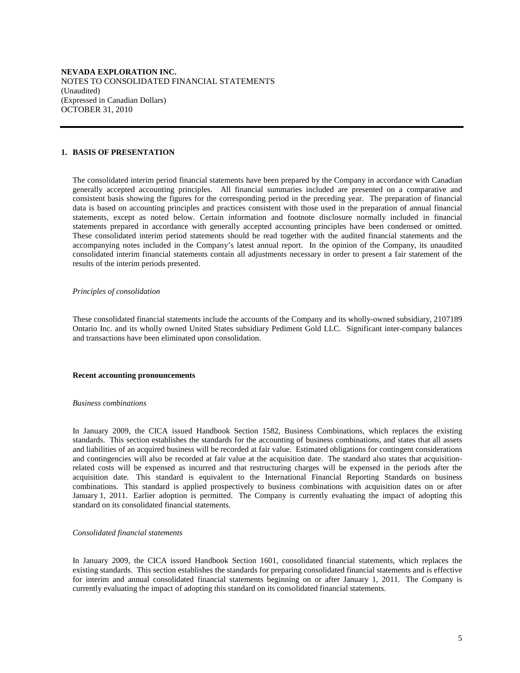**NEVADA EXPLORATION INC.**  NOTES TO CONSOLIDATED FINANCIAL STATEMENTS (Unaudited) (Expressed in Canadian Dollars) OCTOBER 31, 2010

#### **1. BASIS OF PRESENTATION**

 The consolidated interim period financial statements have been prepared by the Company in accordance with Canadian generally accepted accounting principles. All financial summaries included are presented on a comparative and consistent basis showing the figures for the corresponding period in the preceding year. The preparation of financial data is based on accounting principles and practices consistent with those used in the preparation of annual financial statements, except as noted below. Certain information and footnote disclosure normally included in financial statements prepared in accordance with generally accepted accounting principles have been condensed or omitted. These consolidated interim period statements should be read together with the audited financial statements and the accompanying notes included in the Company's latest annual report. In the opinion of the Company, its unaudited consolidated interim financial statements contain all adjustments necessary in order to present a fair statement of the results of the interim periods presented.

#### *Principles of consolidation*

 These consolidated financial statements include the accounts of the Company and its wholly-owned subsidiary, 2107189 Ontario Inc. and its wholly owned United States subsidiary Pediment Gold LLC. Significant inter-company balances and transactions have been eliminated upon consolidation.

#### **Recent accounting pronouncements**

#### *Business combinations*

 In January 2009, the CICA issued Handbook Section 1582, Business Combinations, which replaces the existing standards. This section establishes the standards for the accounting of business combinations, and states that all assets and liabilities of an acquired business will be recorded at fair value. Estimated obligations for contingent considerations and contingencies will also be recorded at fair value at the acquisition date. The standard also states that acquisitionrelated costs will be expensed as incurred and that restructuring charges will be expensed in the periods after the acquisition date. This standard is equivalent to the International Financial Reporting Standards on business combinations. This standard is applied prospectively to business combinations with acquisition dates on or after January 1, 2011. Earlier adoption is permitted. The Company is currently evaluating the impact of adopting this standard on its consolidated financial statements.

#### *Consolidated financial statements*

 In January 2009, the CICA issued Handbook Section 1601, consolidated financial statements, which replaces the existing standards. This section establishes the standards for preparing consolidated financial statements and is effective for interim and annual consolidated financial statements beginning on or after January 1, 2011. The Company is currently evaluating the impact of adopting this standard on its consolidated financial statements.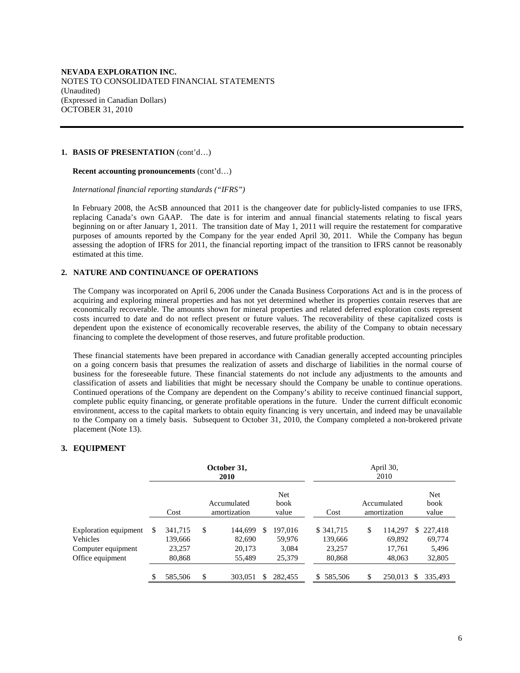#### **1. BASIS OF PRESENTATION** (cont'd…)

#### **Recent accounting pronouncements** (cont'd…)

 *International financial reporting standards ("IFRS")* 

 In February 2008, the AcSB announced that 2011 is the changeover date for publicly-listed companies to use IFRS, replacing Canada's own GAAP. The date is for interim and annual financial statements relating to fiscal years beginning on or after January 1, 2011. The transition date of May 1, 2011 will require the restatement for comparative purposes of amounts reported by the Company for the year ended April 30, 2011. While the Company has begun assessing the adoption of IFRS for 2011, the financial reporting impact of the transition to IFRS cannot be reasonably estimated at this time.

## **2. NATURE AND CONTINUANCE OF OPERATIONS**

The Company was incorporated on April 6, 2006 under the Canada Business Corporations Act and is in the process of acquiring and exploring mineral properties and has not yet determined whether its properties contain reserves that are economically recoverable. The amounts shown for mineral properties and related deferred exploration costs represent costs incurred to date and do not reflect present or future values. The recoverability of these capitalized costs is dependent upon the existence of economically recoverable reserves, the ability of the Company to obtain necessary financing to complete the development of those reserves, and future profitable production.

These financial statements have been prepared in accordance with Canadian generally accepted accounting principles on a going concern basis that presumes the realization of assets and discharge of liabilities in the normal course of business for the foreseeable future. These financial statements do not include any adjustments to the amounts and classification of assets and liabilities that might be necessary should the Company be unable to continue operations. Continued operations of the Company are dependent on the Company's ability to receive continued financial support, complete public equity financing, or generate profitable operations in the future. Under the current difficult economic environment, access to the capital markets to obtain equity financing is very uncertain, and indeed may be unavailable to the Company on a timely basis. Subsequent to October 31, 2010, the Company completed a non-brokered private placement (Note 13).

# **3. EQUIPMENT**

|                                                         |    |                              | October 31,<br>2010               |     |                            |                                 | April 30,<br>2010                 |                              |
|---------------------------------------------------------|----|------------------------------|-----------------------------------|-----|----------------------------|---------------------------------|-----------------------------------|------------------------------|
|                                                         |    | Cost                         | Accumulated<br>amortization       |     | Net<br>book<br>value       | Cost                            | Accumulated<br>amortization       | Net<br>book<br>value         |
| Exploration equipment<br>Vehicles<br>Computer equipment | S  | 341,715<br>139,666<br>23,257 | \$<br>144,699<br>82,690<br>20,173 | \$. | 197.016<br>59.976<br>3,084 | \$ 341,715<br>139,666<br>23,257 | \$<br>114.297<br>69,892<br>17,761 | \$227,418<br>69,774<br>5,496 |
| Office equipment                                        |    | 80,868                       | 55,489                            |     | 25,379                     | 80,868                          | 48,063                            | 32,805                       |
|                                                         | \$ | 585,506                      | \$<br>303.051                     | \$. | 282,455                    | \$585,506                       | \$<br>250,013                     | \$<br>335.493                |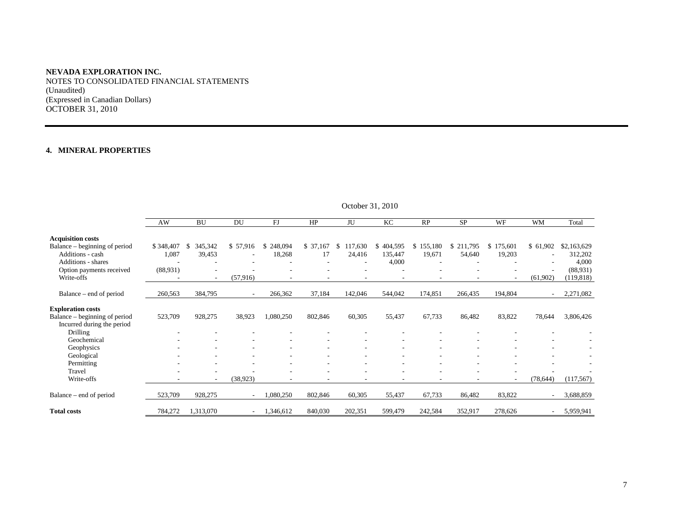NOTES TO CONSOLIDATED FINANCIAL STATEMENTS (Unaudited) (Expressed in Canadian Dollars) OCTOBER 31, 2010

# **4. MINERAL PROPERTIES**

|                                        | AW        | <b>BU</b>           | DU                       | FJ           | HP                       | JU                       | KC                       | RP        | <b>SP</b> | WF                       | <b>WM</b> | Total       |
|----------------------------------------|-----------|---------------------|--------------------------|--------------|--------------------------|--------------------------|--------------------------|-----------|-----------|--------------------------|-----------|-------------|
| <b>Acquisition costs</b>               |           |                     |                          |              |                          |                          |                          |           |           |                          |           |             |
| Balance – beginning of period          | \$348,407 | 345,342<br><b>S</b> | \$57,916                 | 248,094<br>S | \$37,167                 | 117,630<br>-S            | 404,595<br>\$            | \$155,180 | \$211,795 | \$<br>175,601            | \$61,902  | \$2,163,629 |
| Additions - cash                       | 1,087     | 39,453              |                          | 18,268       | 17                       | 24,416                   | 135,447                  | 19,671    | 54,640    | 19,203                   |           | 312,202     |
| Additions - shares                     |           |                     |                          |              | ۰                        |                          | 4,000                    |           |           |                          |           | 4,000       |
| Option payments received               | (88,931)  |                     |                          |              |                          |                          |                          |           |           |                          |           | (88,931)    |
| Write-offs                             |           | $\sim$              | (57, 916)                |              | ٠                        |                          | $\overline{\phantom{a}}$ |           |           | $\overline{\phantom{a}}$ | (61,902)  | (119, 818)  |
| Balance – end of period                | 260,563   | 384,795             | $\sim$                   | 266,362      | 37,184                   | 142,046                  | 544,042                  | 174,851   | 266,435   | 194,804                  |           | 2,271,082   |
|                                        |           |                     |                          |              |                          |                          |                          |           |           |                          |           |             |
| <b>Exploration costs</b>               |           |                     |                          |              |                          |                          |                          |           |           |                          |           |             |
| Balance – beginning of period          | 523,709   | 928,275             | 38,923                   | 1,080,250    | 802,846                  | 60,305                   | 55,437                   | 67,733    | 86,482    | 83,822                   | 78,644    | 3,806,426   |
| Incurred during the period<br>Drilling |           |                     |                          |              |                          |                          |                          |           |           |                          |           |             |
| Geochemical                            |           |                     |                          |              |                          |                          |                          |           |           |                          |           |             |
| Geophysics                             |           |                     |                          |              |                          |                          |                          |           |           |                          |           |             |
| Geological                             |           |                     |                          |              |                          |                          |                          |           |           |                          |           |             |
| Permitting                             |           |                     |                          |              | $\overline{\phantom{a}}$ |                          |                          |           |           |                          |           |             |
| Travel                                 |           |                     |                          |              |                          |                          |                          |           |           |                          |           |             |
| Write-offs                             |           | $\sim$              | (38, 923)                |              | ٠                        | $\overline{\phantom{a}}$ | $\overline{\phantom{a}}$ |           |           | ۰.                       | (78, 644) | (117, 567)  |
| Balance – end of period                | 523,709   | 928,275             | $\overline{\phantom{a}}$ | 1,080,250    | 802,846                  | 60,305                   | 55,437                   | 67,733    | 86,482    | 83,822                   |           | 3,688,859   |
| <b>Total costs</b>                     | 784,272   | 1,313,070           | $\overline{\phantom{0}}$ | 1,346,612    | 840,030                  | 202,351                  | 599,479                  | 242,584   | 352,917   | 278,626                  | $\sim$    | 5,959,941   |

# October 31, 2010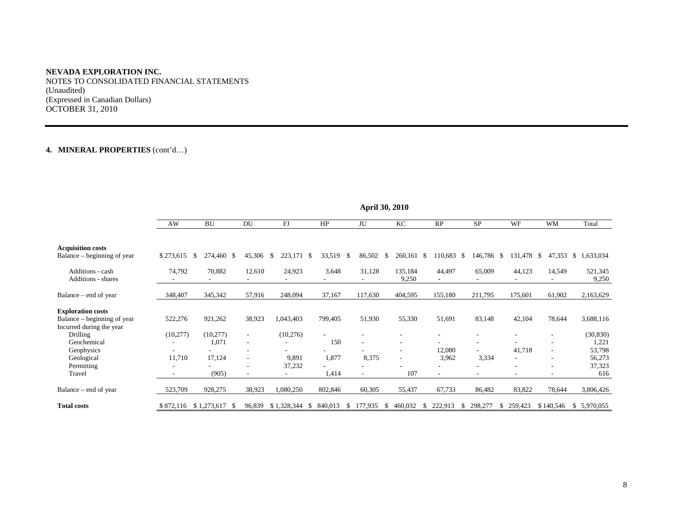NOTES TO CONSOLIDATED FINANCIAL STATEMENTS (Unaudited) (Expressed in Canadian Dollars) OCTOBER 31, 2010

# **4. MINERAL PROPERTIES** (cont'd…)

|                             | April 50, 2010 |                          |        |                  |                          |         |                          |               |               |               |           |              |
|-----------------------------|----------------|--------------------------|--------|------------------|--------------------------|---------|--------------------------|---------------|---------------|---------------|-----------|--------------|
|                             | AW             | <b>BU</b>                | DU     | FJ               | HP                       | JU      | KC                       | RP            | <b>SP</b>     | WF            | <b>WM</b> | Total        |
|                             |                |                          |        |                  |                          |         |                          |               |               |               |           |              |
| <b>Acquisition costs</b>    |                |                          |        |                  |                          |         |                          |               |               |               |           |              |
| Balance – beginning of year | \$273,615      | 274,460 \$<br>\$         | 45,306 | \$<br>223,171 \$ | 33,519<br>\$             | 86,502  | \$<br>260,161 \$         | 110,683 \$    | 146,786 \$    | 131,478 \$    | 47,353    | \$1,633,034  |
| Additions - cash            | 74,792         | 70,882                   | 12,610 | 24,923           | 3,648                    | 31,128  | 135,184                  | 44,497        | 65,009        | 44,123        | 14,549    | 521,345      |
| Additions - shares          |                |                          |        |                  |                          |         | 9,250                    |               |               |               |           | 9,250        |
| Balance – end of year       | 348,407        | 345,342                  | 57,916 | 248,094          | 37,167                   | 117,630 | 404,595                  | 155,180       | 211,795       | 175,601       | 61,902    | 2,163,629    |
| <b>Exploration costs</b>    |                |                          |        |                  |                          |         |                          |               |               |               |           |              |
| Balance – beginning of year | 522,276        | 921,262                  | 38,923 | 1,043,403        | 799,405                  | 51,930  | 55,330                   | 51,691        | 83,148        | 42,104        | 78,644    | 3,688,116    |
| Incurred during the year    |                |                          |        |                  |                          |         |                          |               |               |               |           |              |
| <b>Drilling</b>             | (10,277)       | (10,277)                 | $\sim$ | (10,276)         | $\overline{\phantom{a}}$ |         | $\overline{\phantom{a}}$ |               |               | Ξ.            |           | (30, 830)    |
| Geochemical                 |                | 1,071                    |        |                  | 150                      |         | ٠                        |               |               |               |           | 1,221        |
| Geophysics                  |                |                          |        |                  |                          |         | $\overline{\phantom{a}}$ | 12,080        |               | 41,718        |           | 53,798       |
| Geological                  | 11,710         | 17,124                   |        | 9,891            | 1,877                    | 8,375   | $\overline{\phantom{a}}$ | 3,962         | 3,334         | Ξ.            |           | 56,273       |
| Permitting                  |                |                          |        | 37,232           |                          |         |                          |               |               |               |           | 37,323       |
| Travel                      |                | (905)                    |        |                  | 1,414                    |         | 107                      |               |               | ۰             |           | 616          |
| Balance – end of year       | 523,709        | 928,275                  | 38,923 | 1,080,250        | 802,846                  | 60,305  | 55,437                   | 67,733        | 86,482        | 83,822        | 78,644    | 3,806,426    |
| <b>Total costs</b>          |                | \$872,116 \$1,273,617 \$ | 96,839 | \$1,328,344      | 840,013<br>-8<br>S.      | 177,935 | 460,032<br>S             | 222,913<br>-8 | 298,277<br>Ъ. | 259,423<br>S. | \$140,546 | \$ 5,970,055 |

**April 30, 2010**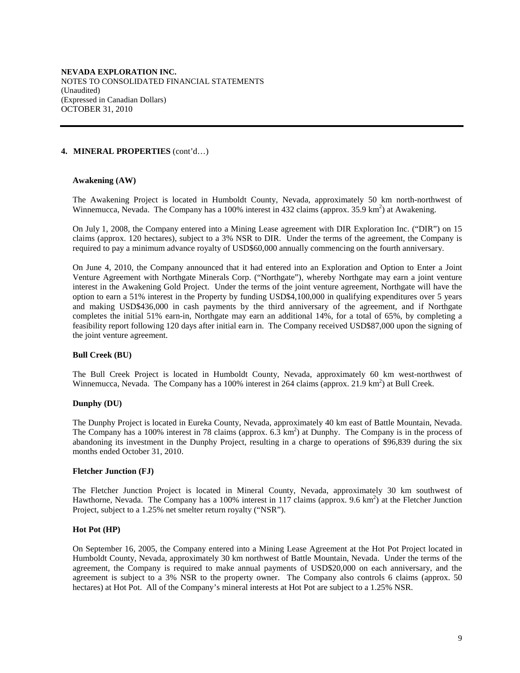## **4. MINERAL PROPERTIES** (cont'd…)

## **Awakening (AW)**

The Awakening Project is located in Humboldt County, Nevada, approximately 50 km north-northwest of Winnemucca, Nevada. The Company has a 100% interest in 432 claims (approx. 35.9 km<sup>2</sup>) at Awakening.

On July 1, 2008, the Company entered into a Mining Lease agreement with DIR Exploration Inc. ("DIR") on 15 claims (approx. 120 hectares), subject to a 3% NSR to DIR. Under the terms of the agreement, the Company is required to pay a minimum advance royalty of USD\$60,000 annually commencing on the fourth anniversary.

On June 4, 2010, the Company announced that it had entered into an Exploration and Option to Enter a Joint Venture Agreement with Northgate Minerals Corp. ("Northgate"), whereby Northgate may earn a joint venture interest in the Awakening Gold Project. Under the terms of the joint venture agreement, Northgate will have the option to earn a 51% interest in the Property by funding USD\$4,100,000 in qualifying expenditures over 5 years and making USD\$436,000 in cash payments by the third anniversary of the agreement, and if Northgate completes the initial 51% earn-in, Northgate may earn an additional 14%, for a total of 65%, by completing a feasibility report following 120 days after initial earn in. The Company received USD\$87,000 upon the signing of the joint venture agreement.

## **Bull Creek (BU)**

The Bull Creek Project is located in Humboldt County, Nevada, approximately 60 km west-northwest of Winnemucca, Nevada. The Company has a 100% interest in 264 claims (approx. 21.9 km<sup>2</sup>) at Bull Creek.

## **Dunphy (DU)**

The Dunphy Project is located in Eureka County, Nevada, approximately 40 km east of Battle Mountain, Nevada. The Company has a 100% interest in 78 claims (approx.  $6.\overline{3} \text{ km}^2$ ) at Dunphy. The Company is in the process of abandoning its investment in the Dunphy Project, resulting in a charge to operations of \$96,839 during the six months ended October 31, 2010.

## **Fletcher Junction (FJ)**

The Fletcher Junction Project is located in Mineral County, Nevada, approximately 30 km southwest of Hawthorne, Nevada. The Company has a 100% interest in 117 claims (approx. 9.6 km<sup>2</sup>) at the Fletcher Junction Project, subject to a 1.25% net smelter return royalty ("NSR").

## **Hot Pot (HP)**

On September 16, 2005, the Company entered into a Mining Lease Agreement at the Hot Pot Project located in Humboldt County, Nevada, approximately 30 km northwest of Battle Mountain, Nevada. Under the terms of the agreement, the Company is required to make annual payments of USD\$20,000 on each anniversary, and the agreement is subject to a 3% NSR to the property owner. The Company also controls 6 claims (approx. 50 hectares) at Hot Pot. All of the Company's mineral interests at Hot Pot are subject to a 1.25% NSR.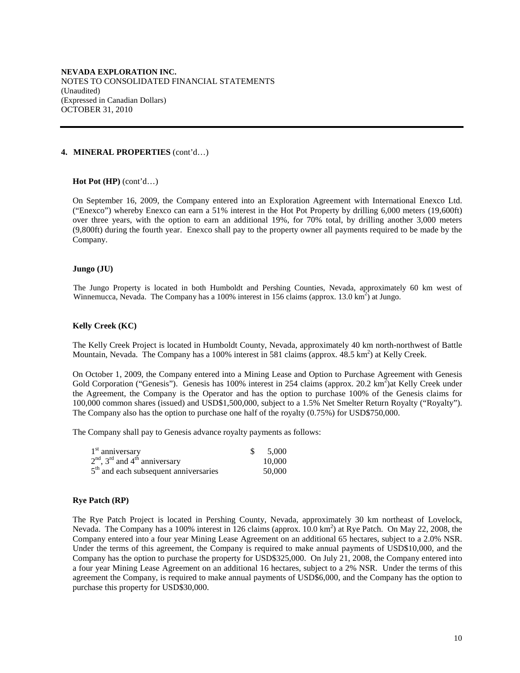#### **4. MINERAL PROPERTIES** (cont'd…)

#### **Hot Pot (HP)** (cont'd…)

On September 16, 2009, the Company entered into an Exploration Agreement with International Enexco Ltd. ("Enexco") whereby Enexco can earn a 51% interest in the Hot Pot Property by drilling 6,000 meters (19,600ft) over three years, with the option to earn an additional 19%, for 70% total, by drilling another 3,000 meters (9,800ft) during the fourth year. Enexco shall pay to the property owner all payments required to be made by the Company.

#### **Jungo (JU)**

The Jungo Property is located in both Humboldt and Pershing Counties, Nevada, approximately 60 km west of Winnemucca, Nevada. The Company has a 100% interest in 156 claims (approx. 13.0 km<sup>2</sup>) at Jungo.

## **Kelly Creek (KC)**

The Kelly Creek Project is located in Humboldt County, Nevada, approximately 40 km north-northwest of Battle Mountain, Nevada. The Company has a 100% interest in 581 claims (approx. 48.5 km<sup>2</sup>) at Kelly Creek.

On October 1, 2009, the Company entered into a Mining Lease and Option to Purchase Agreement with Genesis Gold Corporation ("Genesis"). Genesis has 100% interest in 254 claims (approx. 20.2 km<sup>2</sup>)at Kelly Creek under the Agreement, the Company is the Operator and has the option to purchase 100% of the Genesis claims for 100,000 common shares (issued) and USD\$1,500,000, subject to a 1.5% Net Smelter Return Royalty ("Royalty"). The Company also has the option to purchase one half of the royalty (0.75%) for USD\$750,000.

The Company shall pay to Genesis advance royalty payments as follows:

| $1st$ anniversary                                       | \$5,000 |
|---------------------------------------------------------|---------|
| $2nd$ , 3 <sup>rd</sup> and 4 <sup>th</sup> anniversary | 10,000  |
| $5th$ and each subsequent anniversaries                 | 50,000  |

## **Rye Patch (RP)**

The Rye Patch Project is located in Pershing County, Nevada, approximately 30 km northeast of Lovelock, Nevada. The Company has a 100% interest in 126 claims (approx. 10.0 km<sup>2</sup>) at Rye Patch. On May 22, 2008, the Company entered into a four year Mining Lease Agreement on an additional 65 hectares, subject to a 2.0% NSR. Under the terms of this agreement, the Company is required to make annual payments of USD\$10,000, and the Company has the option to purchase the property for USD\$325,000. On July 21, 2008, the Company entered into a four year Mining Lease Agreement on an additional 16 hectares, subject to a 2% NSR. Under the terms of this agreement the Company, is required to make annual payments of USD\$6,000, and the Company has the option to purchase this property for USD\$30,000.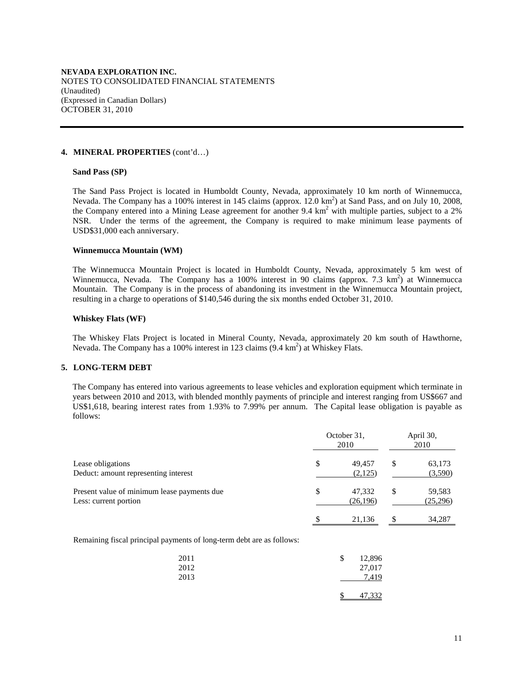#### **4. MINERAL PROPERTIES** (cont'd…)

#### **Sand Pass (SP)**

The Sand Pass Project is located in Humboldt County, Nevada, approximately 10 km north of Winnemucca, Nevada. The Company has a 100% interest in 145 claims (approx. 12.0 km<sup>2</sup>) at Sand Pass, and on July 10, 2008, the Company entered into a Mining Lease agreement for another 9.4  $km<sup>2</sup>$  with multiple parties, subject to a 2% NSR. Under the terms of the agreement, the Company is required to make minimum lease payments of USD\$31,000 each anniversary.

#### **Winnemucca Mountain (WM)**

The Winnemucca Mountain Project is located in Humboldt County, Nevada, approximately 5 km west of Winnemucca, Nevada. The Company has a 100% interest in 90 claims (approx. 7.3  $km^2$ ) at Winnemucca Mountain. The Company is in the process of abandoning its investment in the Winnemucca Mountain project, resulting in a charge to operations of \$140,546 during the six months ended October 31, 2010.

#### **Whiskey Flats (WF)**

The Whiskey Flats Project is located in Mineral County, Nevada, approximately 20 km south of Hawthorne, Nevada. The Company has a 100% interest in 123 claims (9.4 km<sup>2</sup>) at Whiskey Flats.

## **5. LONG-TERM DEBT**

 The Company has entered into various agreements to lease vehicles and exploration equipment which terminate in years between 2010 and 2013, with blended monthly payments of principle and interest ranging from US\$667 and US\$1,618, bearing interest rates from 1.93% to 7.99% per annum. The Capital lease obligation is payable as follows:

|                                                                      | October 31,<br>2010       | April 30,<br>2010         |
|----------------------------------------------------------------------|---------------------------|---------------------------|
| Lease obligations<br>Deduct: amount representing interest            | \$<br>49.457<br>(2,125)   | \$<br>63,173<br>(3,590)   |
| Present value of minimum lease payments due<br>Less: current portion | \$<br>47,332<br>(26, 196) | \$<br>59,583<br>(25, 296) |
|                                                                      | \$<br>21.136              | \$<br>34.287              |

Remaining fiscal principal payments of long-term debt are as follows:

| 2011<br>2012 | \$<br>12,896<br>27,017 |
|--------------|------------------------|
| 2013         | 7.419<br>47,332        |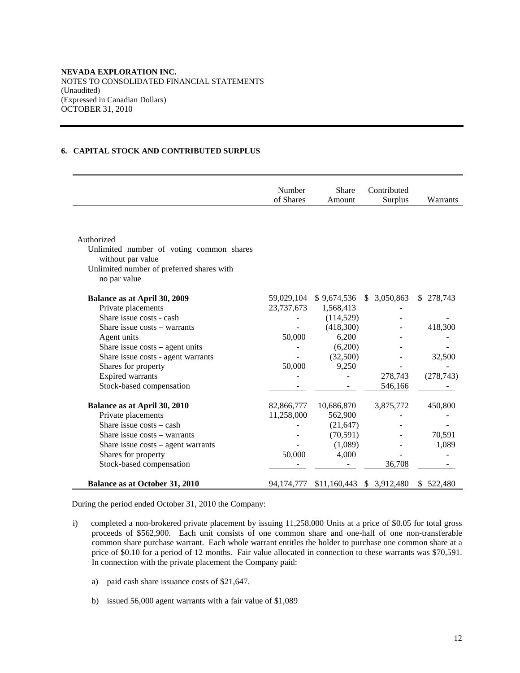# **6. CAPITAL STOCK AND CONTRIBUTED SURPLUS**

|                                                           | Number<br>of Shares | <b>Share</b><br>Amount | Contributed<br>Surplus     | Warrants      |
|-----------------------------------------------------------|---------------------|------------------------|----------------------------|---------------|
|                                                           |                     |                        |                            |               |
| Authorized                                                |                     |                        |                            |               |
| Unlimited number of voting common shares                  |                     |                        |                            |               |
| without par value                                         |                     |                        |                            |               |
| Unlimited number of preferred shares with<br>no par value |                     |                        |                            |               |
|                                                           |                     |                        |                            |               |
| Balance as at April 30, 2009                              | 59,029,104          | \$9,674,536            | \$3,050,863                | 278,743<br>S. |
| Private placements                                        | 23,737,673          | 1,568,413              |                            |               |
| Share issue costs - cash                                  |                     | (114, 529)             |                            |               |
| Share issue costs – warrants                              |                     | (418,300)              |                            | 418,300       |
| Agent units                                               | 50,000              | 6,200                  |                            |               |
| Share issue $costs - agent$ units                         |                     | (6,200)                |                            |               |
| Share issue costs - agent warrants                        |                     | (32,500)               |                            | 32,500        |
| Shares for property                                       | 50,000              | 9,250                  |                            |               |
| <b>Expired</b> warrants                                   |                     |                        | 278,743                    | (278, 743)    |
| Stock-based compensation                                  |                     |                        | 546,166                    |               |
| Balance as at April 30, 2010                              | 82,866,777          | 10,686,870             | 3,875,772                  | 450,800       |
| Private placements                                        | 11,258,000          | 562,900                |                            |               |
| Share issue $costs - cash$                                |                     | (21, 647)              |                            |               |
| Share issue costs - warrants                              |                     | (70, 591)              |                            | 70,591        |
| Share issue $costs - agent \, warrants$                   |                     | (1,089)                |                            | 1,089         |
| Shares for property                                       | 50,000              | 4,000                  |                            |               |
| Stock-based compensation                                  |                     |                        | 36,708                     |               |
| <b>Balance as at October 31, 2010</b>                     | 94,174,777          |                        | $$11,160,443$ $$3,912,480$ | \$522,480     |

During the period ended October 31, 2010 the Company:

- i) completed a non-brokered private placement by issuing 11,258,000 Units at a price of \$0.05 for total gross proceeds of \$562,900. Each unit consists of one common share and one-half of one non-transferable common share purchase warrant. Each whole warrant entitles the holder to purchase one common share at a price of \$0.10 for a period of 12 months. Fair value allocated in connection to these warrants was \$70,591. In connection with the private placement the Company paid:
	- a) paid cash share issuance costs of \$21,647.
	- b) issued 56,000 agent warrants with a fair value of \$1,089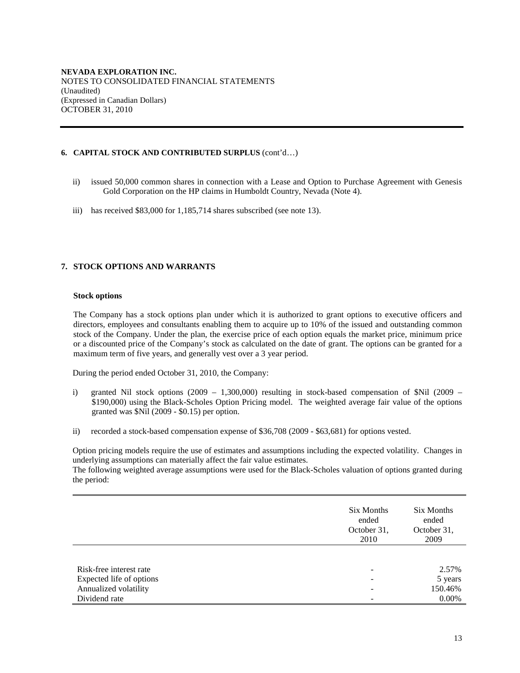# **6. CAPITAL STOCK AND CONTRIBUTED SURPLUS** (cont'd…)

- ii) issued 50,000 common shares in connection with a Lease and Option to Purchase Agreement with Genesis Gold Corporation on the HP claims in Humboldt Country, Nevada (Note 4).
- iii) has received \$83,000 for 1,185,714 shares subscribed (see note 13).

# **7. STOCK OPTIONS AND WARRANTS**

#### **Stock options**

The Company has a stock options plan under which it is authorized to grant options to executive officers and directors, employees and consultants enabling them to acquire up to 10% of the issued and outstanding common stock of the Company. Under the plan, the exercise price of each option equals the market price, minimum price or a discounted price of the Company's stock as calculated on the date of grant. The options can be granted for a maximum term of five years, and generally vest over a 3 year period.

During the period ended October 31, 2010, the Company:

- i) granted Nil stock options (2009 1,300,000) resulting in stock-based compensation of  $Nil$  (2009 \$190,000) using the Black-Scholes Option Pricing model. The weighted average fair value of the options granted was \$Nil (2009 - \$0.15) per option.
- ii) recorded a stock-based compensation expense of \$36,708 (2009 \$63,681) for options vested.

Option pricing models require the use of estimates and assumptions including the expected volatility. Changes in underlying assumptions can materially affect the fair value estimates.

The following weighted average assumptions were used for the Black-Scholes valuation of options granted during the period:

|                          | Six Months<br>ended<br>October 31,<br>2010 | Six Months<br>ended<br>October 31,<br>2009 |
|--------------------------|--------------------------------------------|--------------------------------------------|
|                          |                                            |                                            |
| Risk-free interest rate  |                                            | 2.57%                                      |
| Expected life of options |                                            | 5 years                                    |
| Annualized volatility    |                                            | 150.46%                                    |
| Dividend rate            |                                            | $0.00\%$                                   |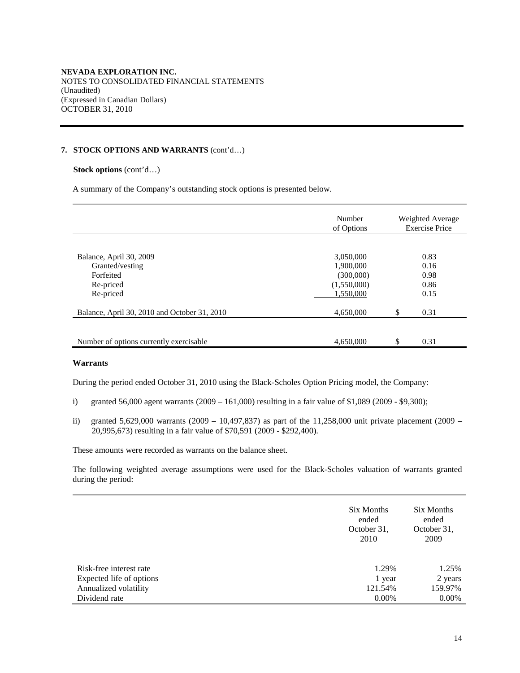## **7. STOCK OPTIONS AND WARRANTS** (cont'd…)

## **Stock options** (cont'd…)

A summary of the Company's outstanding stock options is presented below.

|                                              | Number<br>of Options   | Weighted Average<br><b>Exercise Price</b> |
|----------------------------------------------|------------------------|-------------------------------------------|
|                                              |                        |                                           |
| Balance, April 30, 2009                      | 3,050,000              | 0.83                                      |
| Granted/vesting<br>Forfeited                 | 1,900,000<br>(300,000) | 0.16<br>0.98                              |
| Re-priced                                    | (1,550,000)            | 0.86                                      |
| Re-priced                                    | 1.550.000              | 0.15                                      |
| Balance, April 30, 2010 and October 31, 2010 | 4,650,000              | \$<br>0.31                                |
|                                              |                        |                                           |
| Number of options currently exercisable.     | 4,650,000              | \$<br>0.31                                |

#### **Warrants**

During the period ended October 31, 2010 using the Black-Scholes Option Pricing model, the Company:

- i) granted 56,000 agent warrants (2009 161,000) resulting in a fair value of \$1,089 (2009 \$9,300);
- ii) granted 5,629,000 warrants (2009 10,497,837) as part of the 11,258,000 unit private placement (2009 20,995,673) resulting in a fair value of \$70,591 (2009 - \$292,400).

These amounts were recorded as warrants on the balance sheet.

The following weighted average assumptions were used for the Black-Scholes valuation of warrants granted during the period:

|                          | Six Months<br>ended<br>October 31,<br>2010 | Six Months<br>ended<br>October 31,<br>2009 |
|--------------------------|--------------------------------------------|--------------------------------------------|
|                          |                                            |                                            |
| Risk-free interest rate  | 1.29%                                      | 1.25%                                      |
| Expected life of options | 1 year                                     | 2 years                                    |
| Annualized volatility    | 121.54%                                    | 159.97%                                    |
| Dividend rate            | 0.00%                                      | 0.00%                                      |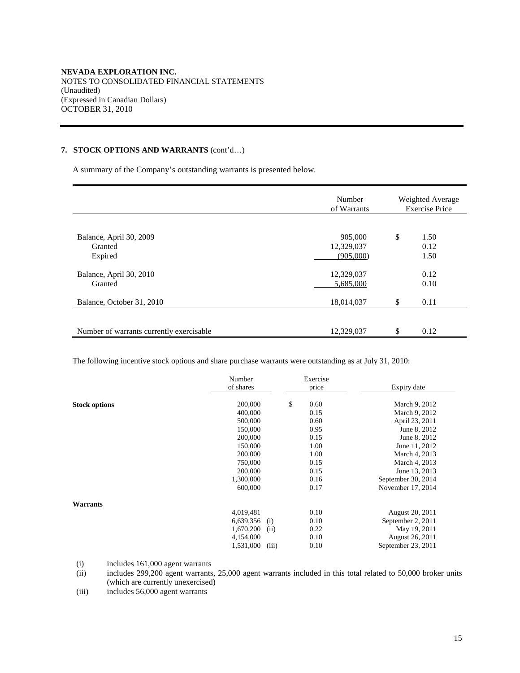# **7. STOCK OPTIONS AND WARRANTS** (cont'd…)

A summary of the Company's outstanding warrants is presented below.

|                                               | Number<br>of Warrants              | Weighted Average<br><b>Exercise Price</b> |                      |  |
|-----------------------------------------------|------------------------------------|-------------------------------------------|----------------------|--|
| Balance, April 30, 2009<br>Granted<br>Expired | 905,000<br>12,329,037<br>(905,000) | \$                                        | 1.50<br>0.12<br>1.50 |  |
| Balance, April 30, 2010<br>Granted            | 12,329,037<br>5,685,000            |                                           | 0.12<br>0.10         |  |
| Balance, October 31, 2010                     | 18,014,037                         | \$                                        | 0.11                 |  |
| Number of warrants currently exercisable      | 12,329,037                         | \$                                        | 0.12                 |  |

The following incentive stock options and share purchase warrants were outstanding as at July 31, 2010:

|                      | Number<br>of shares |       | Exercise<br>price | Expiry date        |
|----------------------|---------------------|-------|-------------------|--------------------|
| <b>Stock options</b> | 200,000             |       | \$<br>0.60        | March 9, 2012      |
|                      | 400,000             |       | 0.15              | March 9, 2012      |
|                      | 500,000             |       | 0.60              | April 23, 2011     |
|                      | 150,000             |       | 0.95              | June 8, 2012       |
|                      | 200,000             |       | 0.15              | June 8, 2012       |
|                      | 150,000             |       | 1.00              | June 11, 2012      |
|                      | 200,000             |       | 1.00              | March 4, 2013      |
|                      | 750,000             |       | 0.15              | March 4, 2013      |
|                      | 200,000             |       | 0.15              | June 13, 2013      |
|                      | 1,300,000           |       | 0.16              | September 30, 2014 |
|                      | 600,000             |       | 0.17              | November 17, 2014  |
| Warrants             |                     |       |                   |                    |
|                      | 4,019,481           |       | 0.10              | August 20, 2011    |
|                      | 6,639,356           | (i)   | 0.10              | September 2, 2011  |
|                      | 1,670,200           | (ii)  | 0.22              | May 19, 2011       |
|                      | 4,154,000           |       | 0.10              | August 26, 2011    |
|                      | 1,531,000           | (iii) | 0.10              | September 23, 2011 |

(i) includes 161,000 agent warrants<br>(ii) includes 299,200 agent warrants.

includes 299,200 agent warrants, 25,000 agent warrants included in this total related to 50,000 broker units (which are currently unexercised)

(iii) includes 56,000 agent warrants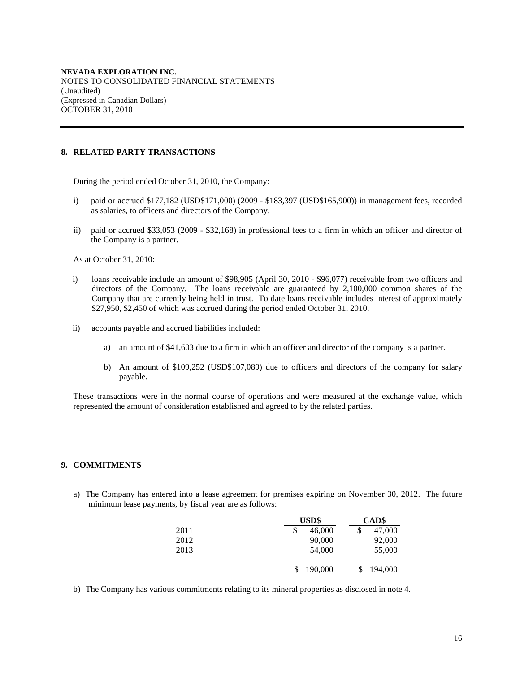# **8. RELATED PARTY TRANSACTIONS**

During the period ended October 31, 2010, the Company:

- i) paid or accrued \$177,182 (USD\$171,000) (2009 \$183,397 (USD\$165,900)) in management fees, recorded as salaries, to officers and directors of the Company.
- ii) paid or accrued \$33,053 (2009 \$32,168) in professional fees to a firm in which an officer and director of the Company is a partner.

As at October 31, 2010:

- i) loans receivable include an amount of \$98,905 (April 30, 2010 \$96,077) receivable from two officers and directors of the Company. The loans receivable are guaranteed by 2,100,000 common shares of the Company that are currently being held in trust. To date loans receivable includes interest of approximately \$27,950, \$2,450 of which was accrued during the period ended October 31, 2010.
- ii) accounts payable and accrued liabilities included:
	- a) an amount of \$41,603 due to a firm in which an officer and director of the company is a partner.
	- b) An amount of \$109,252 (USD\$107,089) due to officers and directors of the company for salary payable.

These transactions were in the normal course of operations and were measured at the exchange value, which represented the amount of consideration established and agreed to by the related parties.

## **9. COMMITMENTS**

a) The Company has entered into a lease agreement for premises expiring on November 30, 2012. The future minimum lease payments, by fiscal year are as follows:

|      | <b>USD\$</b> | <b>CAD\$</b>   |  |  |
|------|--------------|----------------|--|--|
| 2011 | 46,000<br>J  | 47,000<br>J    |  |  |
| 2012 | 90,000       | 92,000         |  |  |
| 2013 | 54,000       | 55,000         |  |  |
|      | 190,000      | <u>194,000</u> |  |  |

b) The Company has various commitments relating to its mineral properties as disclosed in note 4.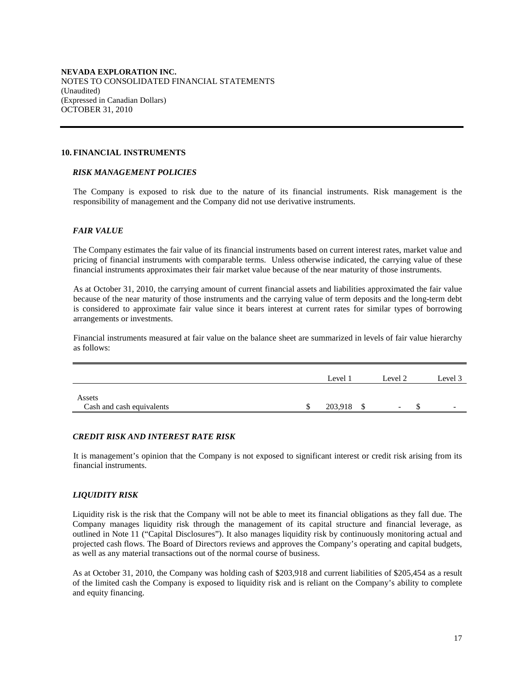#### **10. FINANCIAL INSTRUMENTS**

#### *RISK MANAGEMENT POLICIES*

The Company is exposed to risk due to the nature of its financial instruments. Risk management is the responsibility of management and the Company did not use derivative instruments.

# *FAIR VALUE*

The Company estimates the fair value of its financial instruments based on current interest rates, market value and pricing of financial instruments with comparable terms. Unless otherwise indicated, the carrying value of these financial instruments approximates their fair market value because of the near maturity of those instruments.

As at October 31, 2010, the carrying amount of current financial assets and liabilities approximated the fair value because of the near maturity of those instruments and the carrying value of term deposits and the long-term debt is considered to approximate fair value since it bears interest at current rates for similar types of borrowing arrangements or investments.

Financial instruments measured at fair value on the balance sheet are summarized in levels of fair value hierarchy as follows:

|                           | Level 1 | Level 2                  | Level 3                  |
|---------------------------|---------|--------------------------|--------------------------|
| Assets                    |         |                          |                          |
| Cash and cash equivalents | 203,918 | $\overline{\phantom{0}}$ | $\overline{\phantom{0}}$ |

## *CREDIT RISK AND INTEREST RATE RISK*

It is management's opinion that the Company is not exposed to significant interest or credit risk arising from its financial instruments.

## *LIQUIDITY RISK*

Liquidity risk is the risk that the Company will not be able to meet its financial obligations as they fall due. The Company manages liquidity risk through the management of its capital structure and financial leverage, as outlined in Note 11 ("Capital Disclosures"). It also manages liquidity risk by continuously monitoring actual and projected cash flows. The Board of Directors reviews and approves the Company's operating and capital budgets, as well as any material transactions out of the normal course of business.

As at October 31, 2010, the Company was holding cash of \$203,918 and current liabilities of \$205,454 as a result of the limited cash the Company is exposed to liquidity risk and is reliant on the Company's ability to complete and equity financing.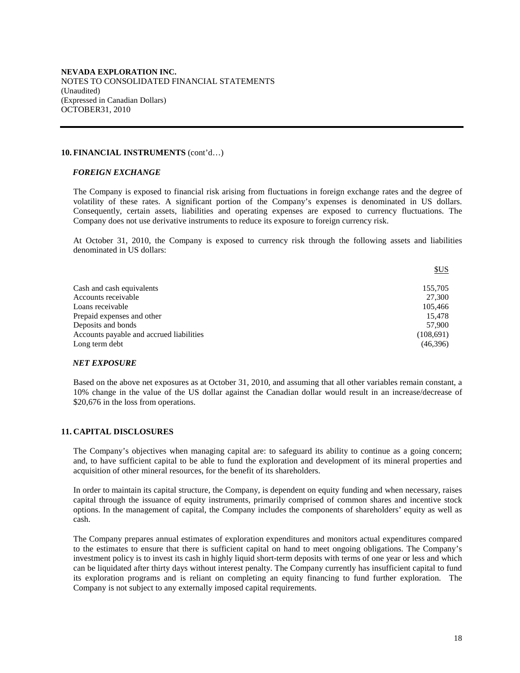#### **10. FINANCIAL INSTRUMENTS** (cont'd…)

#### *FOREIGN EXCHANGE*

The Company is exposed to financial risk arising from fluctuations in foreign exchange rates and the degree of volatility of these rates. A significant portion of the Company's expenses is denominated in US dollars. Consequently, certain assets, liabilities and operating expenses are exposed to currency fluctuations. The Company does not use derivative instruments to reduce its exposure to foreign currency risk.

At October 31, 2010, the Company is exposed to currency risk through the following assets and liabilities denominated in US dollars:

| Cash and cash equivalents<br>155,705<br>Accounts receivable<br>27.300<br>Loans receivable<br>105,466<br>Prepaid expenses and other<br>15,478<br>Deposits and bonds<br>57,900 |
|------------------------------------------------------------------------------------------------------------------------------------------------------------------------------|
|                                                                                                                                                                              |
|                                                                                                                                                                              |
|                                                                                                                                                                              |
|                                                                                                                                                                              |
|                                                                                                                                                                              |
| Accounts payable and accrued liabilities<br>(108,691)                                                                                                                        |
| Long term debt<br>(46,396)                                                                                                                                                   |

## *NET EXPOSURE*

Based on the above net exposures as at October 31, 2010, and assuming that all other variables remain constant, a 10% change in the value of the US dollar against the Canadian dollar would result in an increase/decrease of \$20,676 in the loss from operations.

## **11. CAPITAL DISCLOSURES**

The Company's objectives when managing capital are: to safeguard its ability to continue as a going concern; and, to have sufficient capital to be able to fund the exploration and development of its mineral properties and acquisition of other mineral resources, for the benefit of its shareholders.

In order to maintain its capital structure, the Company, is dependent on equity funding and when necessary, raises capital through the issuance of equity instruments, primarily comprised of common shares and incentive stock options. In the management of capital, the Company includes the components of shareholders' equity as well as cash.

The Company prepares annual estimates of exploration expenditures and monitors actual expenditures compared to the estimates to ensure that there is sufficient capital on hand to meet ongoing obligations. The Company's investment policy is to invest its cash in highly liquid short-term deposits with terms of one year or less and which can be liquidated after thirty days without interest penalty. The Company currently has insufficient capital to fund its exploration programs and is reliant on completing an equity financing to fund further exploration. The Company is not subject to any externally imposed capital requirements.